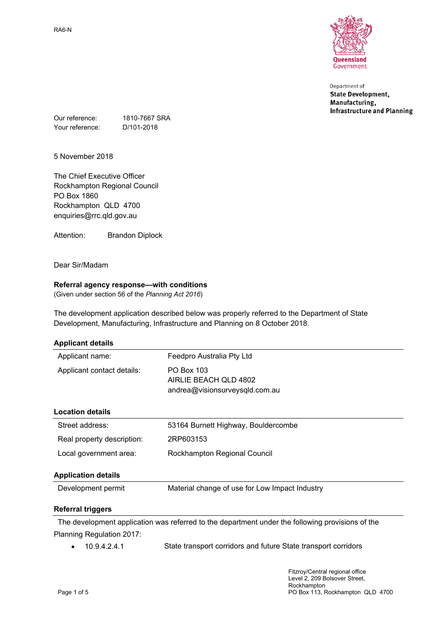

Department of **State Development,** Manufacturing, **Infrastructure and Planning** 

Our reference: 1810-7667 SRA Your reference: D/101-2018

5 November 2018

The Chief Executive Officer Rockhampton Regional Council PO Box 1860 Rockhampton QLD 4700 enquiries@rrc.qld.gov.au

Attention: Brandon Diplock

Dear Sir/Madam

### **Referral agency response—with conditions**

(Given under section 56 of the *Planning Act 2016*)

The development application described below was properly referred to the Department of State Development, Manufacturing, Infrastructure and Planning on 8 October 2018.

| <b>Applicant details</b> |  |
|--------------------------|--|
|--------------------------|--|

| Development permit         | Material change of use for Low Impact Industry                        |  |
|----------------------------|-----------------------------------------------------------------------|--|
| <b>Application details</b> |                                                                       |  |
| Local government area:     | Rockhampton Regional Council                                          |  |
| Real property description: | 2RP603153                                                             |  |
| Street address:            | 53164 Burnett Highway, Bouldercombe                                   |  |
| <b>Location details</b>    |                                                                       |  |
| Applicant contact details: | PO Box 103<br>AIRLIE BEACH OLD 4802<br>andrea@visionsurveysqld.com.au |  |
| Applicant name:            | Feedpro Australia Pty Ltd                                             |  |

### **Referral triggers**

The development application was referred to the department under the following provisions of the Planning Regulation 2017:

10.9.4.2.4.1 State transport corridors and future State transport corridors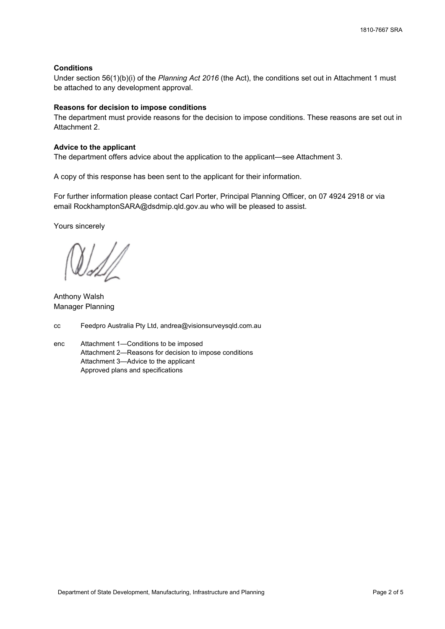### **Conditions**

Under section 56(1)(b)(i) of the *Planning Act 2016* (the Act), the conditions set out in Attachment 1 must be attached to any development approval.

### **Reasons for decision to impose conditions**

The department must provide reasons for the decision to impose conditions. These reasons are set out in Attachment 2.

### **Advice to the applicant**

The department offers advice about the application to the applicant—see Attachment 3.

A copy of this response has been sent to the applicant for their information.

For further information please contact Carl Porter, Principal Planning Officer, on 07 4924 2918 or via email RockhamptonSARA@dsdmip.qld.gov.au who will be pleased to assist.

Yours sincerely

Anthony Walsh Manager Planning

- cc Feedpro Australia Pty Ltd, andrea@visionsurveysqld.com.au
- enc Attachment 1—Conditions to be imposed Attachment 2—Reasons for decision to impose conditions Attachment 3—Advice to the applicant Approved plans and specifications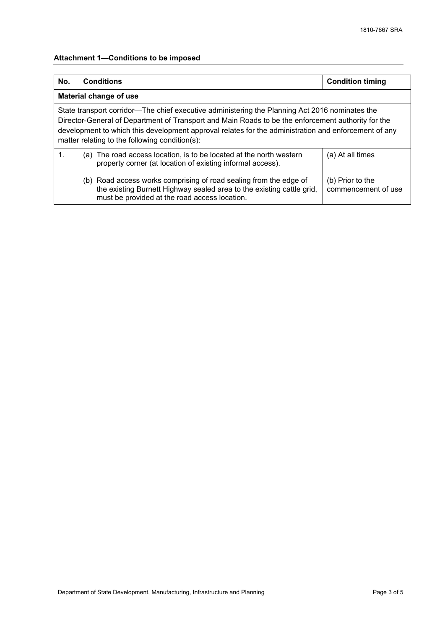# **Attachment 1—Conditions to be imposed**

| No.                                                                                                                                                                                                                                                                                                                                                            | <b>Conditions</b>                                                                                                                                                                           | <b>Condition timing</b>                 |  |
|----------------------------------------------------------------------------------------------------------------------------------------------------------------------------------------------------------------------------------------------------------------------------------------------------------------------------------------------------------------|---------------------------------------------------------------------------------------------------------------------------------------------------------------------------------------------|-----------------------------------------|--|
| Material change of use                                                                                                                                                                                                                                                                                                                                         |                                                                                                                                                                                             |                                         |  |
| State transport corridor—The chief executive administering the Planning Act 2016 nominates the<br>Director-General of Department of Transport and Main Roads to be the enforcement authority for the<br>development to which this development approval relates for the administration and enforcement of any<br>matter relating to the following condition(s): |                                                                                                                                                                                             |                                         |  |
| $\mathbf{1}$ .                                                                                                                                                                                                                                                                                                                                                 | (a) The road access location, is to be located at the north western<br>property corner (at location of existing informal access).                                                           | (a) At all times                        |  |
|                                                                                                                                                                                                                                                                                                                                                                | (b) Road access works comprising of road sealing from the edge of<br>the existing Burnett Highway sealed area to the existing cattle grid,<br>must be provided at the road access location. | (b) Prior to the<br>commencement of use |  |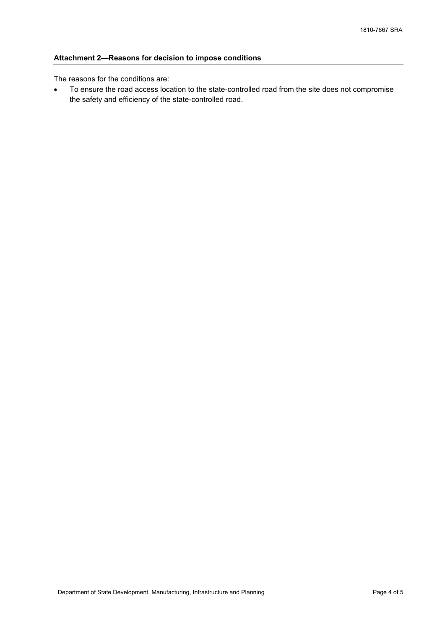## **Attachment 2—Reasons for decision to impose conditions**

The reasons for the conditions are:

 To ensure the road access location to the state-controlled road from the site does not compromise the safety and efficiency of the state-controlled road.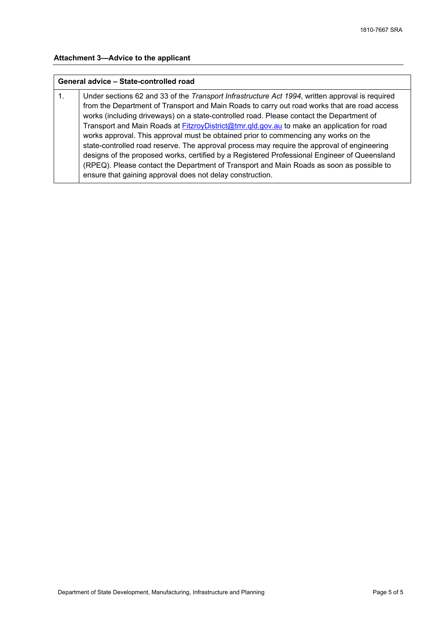# **Attachment 3—Advice to the applicant**

## **General advice – State-controlled road**

| $\mathbf{1}$ . | Under sections 62 and 33 of the Transport Infrastructure Act 1994, written approval is required |
|----------------|-------------------------------------------------------------------------------------------------|
|                | from the Department of Transport and Main Roads to carry out road works that are road access    |
|                | works (including driveways) on a state-controlled road. Please contact the Department of        |
|                | Transport and Main Roads at FitzroyDistrict@tmr.gld.gov.au to make an application for road      |
|                | works approval. This approval must be obtained prior to commencing any works on the             |
|                | state-controlled road reserve. The approval process may require the approval of engineering     |
|                | designs of the proposed works, certified by a Registered Professional Engineer of Queensland    |
|                | (RPEQ). Please contact the Department of Transport and Main Roads as soon as possible to        |
|                | ensure that gaining approval does not delay construction.                                       |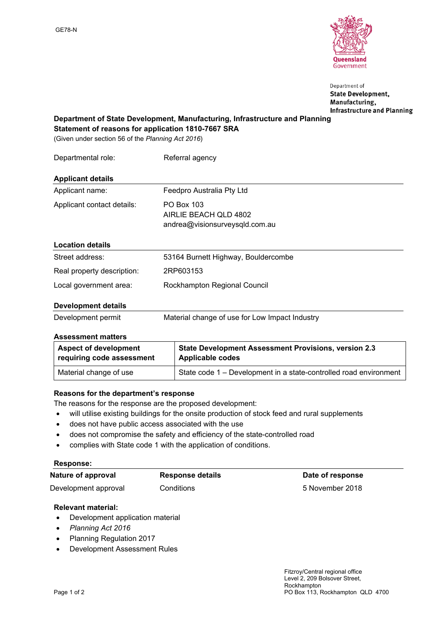

Department of **State Development,** Manufacturing, **Infrastructure and Planning** 

**Department of State Development, Manufacturing, Infrastructure and Planning Statement of reasons for application 1810-7667 SRA**

(Given under section 56 of the *Planning Act 2016*)

| Departmental role:         | Referral agency                                                       |
|----------------------------|-----------------------------------------------------------------------|
| <b>Applicant details</b>   |                                                                       |
| Applicant name:            | Feedpro Australia Pty Ltd                                             |
| Applicant contact details: | PO Box 103<br>AIRLIE BEACH OLD 4802<br>andrea@visionsurveysqld.com.au |
| <b>Location details</b>    |                                                                       |
| Street address:            | 53164 Burnett Highway, Bouldercombe                                   |
| Real property description: | 2RP603153                                                             |
| Local government area:     | Rockhampton Regional Council                                          |
| <b>Development details</b> |                                                                       |

## Development permit Material change of use for Low Impact Industry

### **Assessment matters**

| <b>Aspect of development</b> | <b>State Development Assessment Provisions, version 2.3</b>       |  |
|------------------------------|-------------------------------------------------------------------|--|
| requiring code assessment    | Applicable codes                                                  |  |
| Material change of use       | State code 1 – Development in a state-controlled road environment |  |

### **Reasons for the department's response**

- The reasons for the response are the proposed development:
- will utilise existing buildings for the onsite production of stock feed and rural supplements
- does not have public access associated with the use
- does not compromise the safety and efficiency of the state-controlled road
- complies with State code 1 with the application of conditions.

### **Response:**

| Nature of approval   | <b>Response details</b> | Date of response |
|----------------------|-------------------------|------------------|
| Development approval | Conditions              | 5 November 2018  |

### **Relevant material:**

- Development application material
- *Planning Act 2016*
- Planning Regulation 2017
- Development Assessment Rules